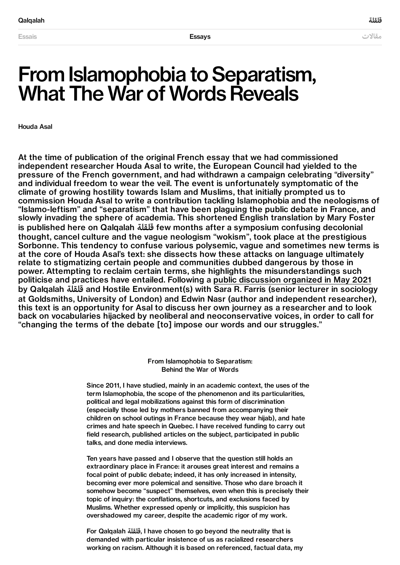# From Islamophobia to Separatism, What The War of Words Reveals

Houda Asal

At the time of publication of the original French essay that we had commissioned independent researcher Houda Asal to write, the European Council had yielded to the pressure of the French government, and had withdrawn a campaign celebrating "diversity" and individual freedom to wear the veil. The event is unfortunately symptomatic of the climate of growing hostility towards Islam and Muslims, that initially prompted us to commission Houda Asal to write a contribution tackling Islamophobia and the neologisms of "Islamo-leftism" and "separatism" that have been plaguing the public debate in France, and slowly invading the sphere of academia. This shortened English translation by Mary Foster is published here on Qalqalah قلقلة few months after a symposium confusing decolonial thought, cancel culture and the vague neologism "wokism", took place at the prestigious Sorbonne. This tendency to confuse various polysemic, vague and sometimes new terms is at the core of Houda Asal's text: she dissects how these attacks on language ultimately relate to stigmatizing certain people and communities dubbed dangerous by those in power. Attempting to reclaim certain terms, she highlights the misunderstandings such politicise and practices have entailed. Following a public [discussion](https://qalqalah.org/en/activities/conversation-in-the-name-of) organized in May 2021 by Qalqalah قلقلة and Hostile Environment(s) with Sara R. Farris (senior lecturer in sociology at Goldsmiths, University of London) and Edwin Nasr (author and independent researcher), this text is an opportunity for Asal to discuss her own journey as a researcher and to look back on vocabularies hijacked by neoliberal and neoconservative voices, in order to call for "changing the terms of the debate [to] impose our words and our struggles."

> From Islamophobia to Separatism: Behind the War of Words

Since 2011, I have studied, mainly in an academic context, the uses of the term Islamophobia, the scope of the phenomenon and its particularities, political and legal mobilizations against this form of discrimination (especially those led by mothers banned from accompanying their children on school outings in France because they wear hijab), and hate crimes and hate speech in Quebec. I have received funding to carry out field research, published articles on the subject, participated in public talks, and done media interviews.

Ten years have passed and I observe that the question still holds an extraordinary place in France: it arouses great interest and remains a focal point of public debate; indeed, it has only increased in intensity, becoming ever more polemical and sensitive. Those who dare broach it somehow become "suspect" themselves, even when this is precisely their topic of inquiry: the conflations, shortcuts, and exclusions faced by Muslims. Whether expressed openly or implicitly, this suspicion has overshadowed my career, despite the academic rigor of my work.

For Qalqalah قلقلة, I have chosen to go beyond the neutrality that is demanded with particular insistence of us as racialized researchers working on racism. Although it is based on referenced, factual data, my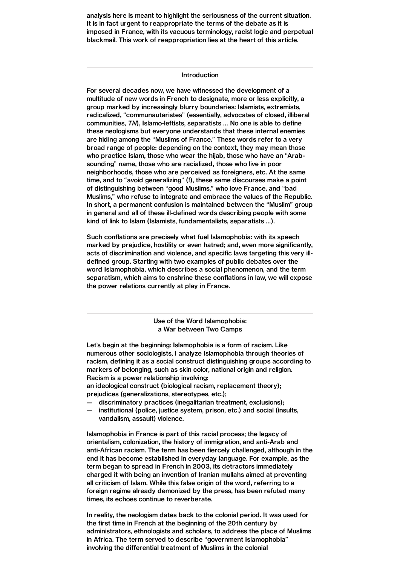analysis here is meant to highlight the seriousness of the current situation. It is in fact urgent to reappropriate the terms of the debate as it is imposed in France, with its vacuous terminology, racist logic and perpetual blackmail. This work of reappropriation lies at the heart of this article.

#### Introduction

For several decades now, we have witnessed the development of a multitude of new words in French to designate, more or less explicitly, a group marked by increasingly blurry boundaries: Islamists, extremists, radicalized, "communautaristes" (essentially, advocates of closed, illiberal communities, TN), Islamo-leftists, separatists … No one is able to define these neologisms but everyone understands that these internal enemies are hiding among the "Muslims of France." These words refer to a very broad range of people: depending on the context, they may mean those who practice Islam, those who wear the hijab, those who have an "Arabsounding" name, those who are racialized, those who live in poor neighborhoods, those who are perceived as foreigners, etc. At the same time, and to "avoid generalizing" (!), these same discourses make a point of distinguishing between "good Muslims," who love France, and "bad Muslims," who refuse to integrate and embrace the values of the Republic. In short, a permanent confusion is maintained between the "Muslim" group in general and all of these ill-defined words describing people with some kind of link to Islam (Islamists, fundamentalists, separatists …).

Such conflations are precisely what fuel Islamophobia: with its speech marked by prejudice, hostility or even hatred; and, even more significantly, acts of discrimination and violence, and specific laws targeting this very illdefined group. Starting with two examples of public debates over the word Islamophobia, which describes a social phenomenon, and the term separatism, which aims to enshrine these conflations in law, we will expose the power relations currently at play in France.

> Use of the Word Islamophobia: a War between Two Camps

Let's begin at the beginning: Islamophobia is a form of racism. Like numerous other sociologists, I analyze Islamophobia through theories of racism, defining it as a social construct distinguishing groups according to markers of belonging, such as skin color, national origin and religion. Racism is a power relationship involving:

an ideological construct (biological racism, replacement theory); prejudices (generalizations, stereotypes, etc.);

- discriminatory practices (inegalitarian treatment, exclusions);
- institutional (police, justice system, prison, etc.) and social (insults, vandalism, assault) violence.

Islamophobia in France is part of this racial process; the legacy of orientalism, colonization, the history of immigration, and anti-Arab and anti-African racism. The term has been fiercely challenged, although in the end it has become established in everyday language. For example, as the term began to spread in French in 2003, its detractors immediately charged it with being an invention of Iranian mullahs aimed at preventing all criticism of Islam. While this false origin of the word, referring to a foreign regime already demonized by the press, has been refuted many times, its echoes continue to reverberate.

In reality, the neologism dates back to the colonial period. It was used for the first time in French at the beginning of the 20th century by administrators, ethnologists and scholars, to address the place of Muslims in Africa. The term served to describe "government Islamophobia" involving the differential treatment of Muslims in the colonial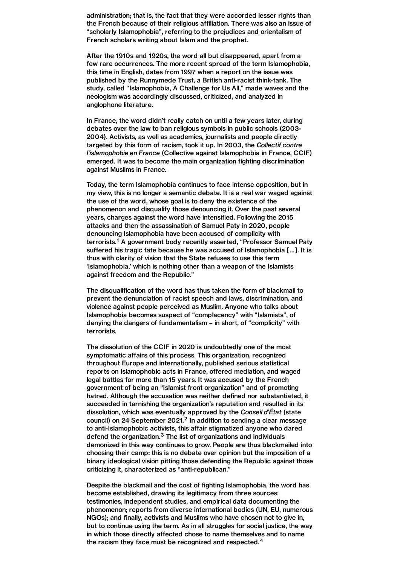administration; that is, the fact that they were accorded lesser rights than the French because of their religious affiliation. There was also an issue of "scholarly Islamophobia", referring to the prejudices and orientalism of French scholars writing about Islam and the prophet.

After the 1910s and 1920s, the word all but disappeared, apart from a few rare occurrences. The more recent spread of the term Islamophobia, this time in English, dates from 1997 when a report on the issue was published by the Runnymede Trust, a British anti-racist think-tank. The study, called "Islamophobia, A Challenge for Us All," made waves and the neologism was accordingly discussed, criticized, and analyzed in anglophone literature.

In France, the word didn't really catch on until a few years later, during debates over the law to ban religious symbols in public schools (2003- 2004). Activists, as well as academics, journalists and people directly targeted by this form of racism, took it up. In 2003, the Collectif contre l'islamophobie en France (Collective against Islamophobia in France, CCIF) emerged. It was to become the main organization fighting discrimination against Muslims in France.

Today, the term Islamophobia continues to face intense opposition, but in my view, this is no longer a semantic debate. It is a real war waged against the use of the word, whose goal is to deny the existence of the phenomenon and disqualify those denouncing it. Over the past several years, charges against the word have intensified. Following the 2015 attacks and then the assassination of Samuel Paty in 2020, people denouncing Islamophobia have been accused of complicity with terrorists.<sup>[1](#page-4-0)</sup> A government body recently asserted, "Professor Samuel Paty suffered his tragic fate because he was accused of Islamophobia […]. It is thus with clarity of vision that the State refuses to use this term 'Islamophobia,' which is nothing other than a weapon of the Islamists against freedom and the Republic."

<span id="page-2-0"></span>The disqualification of the word has thus taken the form of blackmail to prevent the denunciation of racist speech and laws, discrimination, and violence against people perceived as Muslim. Anyone who talks about Islamophobia becomes suspect of "complacency" with "Islamists", of denying the dangers of fundamentalism – in short, of "complicity" with terrorists.

The dissolution of the CCIF in 2020 is undoubtedly one of the most symptomatic affairs of this process. This organization, recognized throughout Europe and internationally, published serious statistical reports on Islamophobic acts in France, offered mediation, and waged legal battles for more than 15 years. It was accused by the French government of being an "Islamist front organization" and of promoting hatred. Although the accusation was neither defined nor substantiated, it succeeded in tarnishing the organization's reputation and resulted in its dissolution, which was eventually approved by the Conseil d'État (state council) on [2](#page-4-1)4 September 2021.<sup>2</sup> In addition to sending a clear message to anti-Islamophobic activists, this affair stigmatized anyone who dared defend the organization. $3$  The list of organizations and individuals demonized in this way continues to grow. People are thus blackmailed into choosing their camp: this is no debate over opinion but the imposition of a binary ideological vision pitting those defending the Republic against those criticizing it, characterized as "anti-republican."

<span id="page-2-2"></span><span id="page-2-1"></span>Despite the blackmail and the cost of fighting Islamophobia, the word has become established, drawing its legitimacy from three sources: testimonies, independent studies, and empirical data documenting the phenomenon; reports from diverse international bodies (UN, EU, numerous NGOs); and finally, activists and Muslims who have chosen not to give in, but to continue using the term. As in all struggles for social justice, the way in which those directly affected chose to name themselves and to name the racism they face must be recognized and respected.<sup>[4](#page-4-3)</sup>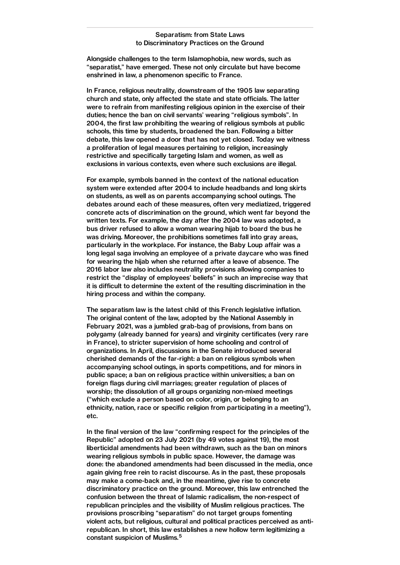## Separatism: from State Laws to Discriminatory Practices on the Ground

Alongside challenges to the term Islamophobia, new words, such as "separatist," have emerged. These not only circulate but have become enshrined in law, a phenomenon specific to France.

In France, religious neutrality, downstream of the 1905 law separating church and state, only affected the state and state officials. The latter were to refrain from manifesting religious opinion in the exercise of their duties; hence the ban on civil servants' wearing "religious symbols". In 2004, the first law prohibiting the wearing of religious symbols at public schools, this time by students, broadened the ban. Following a bitter debate, this law opened a door that has not yet closed. Today we witness a proliferation of legal measures pertaining to religion, increasingly restrictive and specifically targeting Islam and women, as well as exclusions in various contexts, even where such exclusions are illegal.

For example, symbols banned in the context of the national education system were extended after 2004 to include headbands and long skirts on students, as well as on parents accompanying school outings. The debates around each of these measures, often very mediatized, triggered concrete acts of discrimination on the ground, which went far beyond the written texts. For example, the day after the 2004 law was adopted, a bus driver refused to allow a woman wearing hijab to board the bus he was driving. Moreover, the prohibitions sometimes fall into gray areas, particularly in the workplace. For instance, the Baby Loup affair was a long legal saga involving an employee of a private daycare who was fined for wearing the hijab when she returned after a leave of absence. The 2016 labor law also includes neutrality provisions allowing companies to restrict the "display of employees' beliefs" in such an imprecise way that it is difficult to determine the extent of the resulting discrimination in the hiring process and within the company.

The separatism law is the latest child of this French legislative inflation. The original content of the law, adopted by the National Assembly in February 2021, was a jumbled grab-bag of provisions, from bans on polygamy (already banned for years) and virginity certificates (very rare in France), to stricter supervision of home schooling and control of organizations. In April, discussions in the Senate introduced several cherished demands of the far-right: a ban on religious symbols when accompanying school outings, in sports competitions, and for minors in public space; a ban on religious practice within universities; a ban on foreign flags during civil marriages; greater regulation of places of worship; the dissolution of all groups organizing non-mixed meetings ("which exclude a person based on color, origin, or belonging to an ethnicity, nation, race or specific religion from participating in a meeting"), etc.

In the final version of the law "confirming respect for the principles of the Republic" adopted on 23 July 2021 (by 49 votes against 19), the most liberticidal amendments had been withdrawn, such as the ban on minors wearing religious symbols in public space. However, the damage was done: the abandoned amendments had been discussed in the media, once again giving free rein to racist discourse. As in the past, these proposals may make a come-back and, in the meantime, give rise to concrete discriminatory practice on the ground. Moreover, this law entrenched the confusion between the threat of Islamic radicalism, the non-respect of republican principles and the visibility of Muslim religious practices. The provisions proscribing "separatism" do not target groups fomenting violent acts, but religious, cultural and political practices perceived as antirepublican. In short, this law establishes a new hollow term legitimizing a constant suspicion of Muslims. [5](#page-4-4)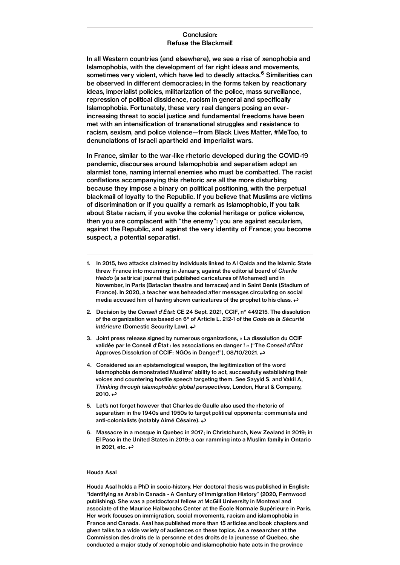# Conclusion: Refuse the Blackmail!

In all Western countries (and elsewhere), we see a rise of xenophobia and Islamophobia, with the development of far right ideas and movements, sometimes very violent, which have led to deadly attacks.<sup>[6](#page-4-5)</sup> Similarities can be observed in different democracies; in the forms taken by reactionary ideas, imperialist policies, militarization of the police, mass surveillance, repression of political dissidence, racism in general and specifically Islamophobia. Fortunately, these very real dangers posing an everincreasing threat to social justice and fundamental freedoms have been met with an intensification of transnational struggles and resistance to racism, sexism, and police violence—from Black Lives Matter, #MeToo, to denunciations of Israeli apartheid and imperialist wars.

In France, similar to the war-like rhetoric developed during the COVID-19 pandemic, discourses around Islamophobia and separatism adopt an alarmist tone, naming internal enemies who must be combatted. The racist conflations accompanying this rhetoric are all the more disturbing because they impose a binary on political positioning, with the perpetual blackmail of loyalty to the Republic. If you believe that Muslims are victims of discrimination or if you qualify a remark as Islamophobic, if you talk about State racism, if you evoke the colonial heritage or police violence, then you are complacent with "the enemy": you are against secularism, against the Republic, and against the very identity of France; you become suspect, a potential separatist.

- <span id="page-4-0"></span>1. In 2015, two attacks claimed by individuals linked to Al Qaida and the Islamic State threw France into mourning: in January, against the editorial board of Charlie Hebdo (a satirical journal that published caricatures of Mohamed) and in November, in Paris (Bataclan theatre and terraces) and in Saint Denis (Stadium of France). In 2020, a teacher was beheaded after messages circulating on so[cia](#page-2-0)l media accused him of having shown caricatures of the prophet to his class.  $\rightarrow$
- <span id="page-4-1"></span>2. Decision by the Conseil d'État: CE 24 Sept. 2021, CCIF, n° 449215. The dissolution of the organization was based on 6° [of](#page-2-1) Article L. 212-1 of the Code de la Sécurité intérieure (Domestic Security Law).  $\leftrightarrow$
- <span id="page-4-2"></span>3. Joint press release signed by numerous organizations, « La dissolution du CCIF validée par le Conseil d'État : les associations en danger ! » ("T[he](#page-2-2) Conseil d'État Approves Dissolution of CCIF: NGOs in Danger!"), 08/10/2021.
- <span id="page-4-3"></span>4. Considered as an epistemological weapon, the legitimization of the word Islamophobia demonstrated Muslims' ability to act, successfully establishing their voices and countering hostile speech targeting them. See Sayyid S. and Vakil A, Thinking through islamophobia: global perspectives, London, Hurst & Company, 2010.  $\leftrightarrow$
- <span id="page-4-4"></span>5. Let's not forget however that Charles de Gaulle also used the rhetoric of separatism in the 1940s and 1950s to target political opponents: communists and anti-colonialists (notably Aimé Césaire).
- <span id="page-4-5"></span>6. Massacre in a mosque in Quebec in 2017; in Christchurch, New Zealand in 2019; in El Paso in the United States in 2019; a car ramming into a Muslim family in Ontario in 2021, etc.  $\leftrightarrow$

### Houda Asal

Houda Asal holds a PhD in socio-history. Her doctoral thesis was published in English: "Identifying as Arab in Canada - A Century of Immigration History" (2020, Fernwood publishing). She was a postdoctoral fellow at McGill University in Montreal and associate of the Maurice Halbwachs Center at the École Normale Supérieure in Paris. Her work focuses on immigration, social movements, racism and islamophobia in France and Canada. Asal has published more than 15 articles and book chapters and given talks to a wide variety of audiences on these topics. As a researcher at the Commission des droits de la personne et des droits de la jeunesse of Quebec, she conducted a major study of xenophobic and islamophobic hate acts in the province